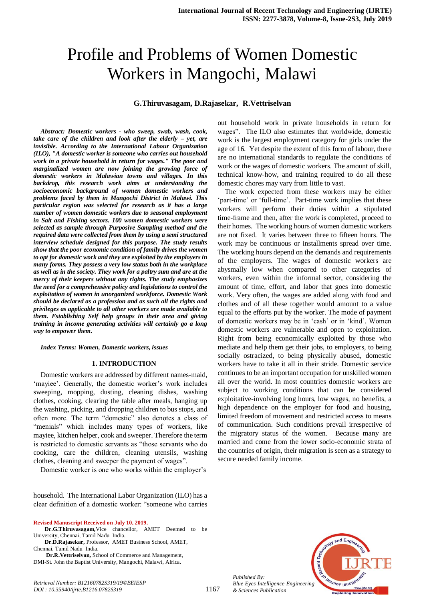# Profile and Problems of Women Domestic Workers in Mangochi, Malawi

## **G.Thiruvasagam, D.Rajasekar, R.Vettriselvan**

*Abstract: Domestic workers - who sweep, swab, wash, cook, take care of the children and look after the elderly – yet, are invisible. According to the International Labour Organization (ILO), "A domestic worker is someone who carries out household work in a private household in return for wages." The poor and marginalized women are now joining the growing force of domestic workers in Malawian towns and villages. In this backdrop, this research work aims at understanding the socioeconomic background of women domestic workers and problems faced by them in Mangochi District in Malawi. This particular region was selected for research as it has a large number of women domestic workers due to seasonal employment in Salt and Fishing sectors. 100 women domestic workers were selected as sample through Purposive Sampling method and the required data were collected from them by using a semi structured interview schedule designed for this purpose. The study results show that the poor economic condition of family drives the women to opt for domestic work and they are exploited by the employers in many forms. They possess a very low status both in the workplace as well as in the society. They work for a paltry sum and are at the mercy of their keepers without any rights. The study emphasizes the need for a comprehensive policy and legislations to control the exploitation of women in unorganized workforce. Domestic Work should be declared as a profession and as such all the rights and privileges as applicable to all other workers are made available to them. Establishing Self help groups in their area and giving training in income generating activities will certainly go a long way to empower them.*

*Index Terms: Women, Domestic workers, issues* 

#### **1. INTRODUCTION**

Domestic workers are addressed by different names-maid, 'mayiee'. Generally, the domestic worker's work includes sweeping, mopping, dusting, cleaning dishes, washing clothes, cooking, clearing the table after meals, hanging up the washing, picking, and dropping children to bus stops, and often more. The term "domestic" also denotes a class of "menials" which includes many types of workers, like mayiee, kitchen helper, cook and sweeper. Therefore the term is restricted to domestic servants as "those servants who do cooking, care the children, cleaning utensils, washing clothes, cleaning and sweeper the payment of wages".

Domestic worker is one who works within the employer's

household. The International Labor Organization (ILO) has a clear definition of a domestic worker: "someone who carries

**Revised Manuscript Received on July 10, 2019.**

*Retrieval Number: B12160782S319/19©BEIESP DOI : 10.35940/ijrte.B1216.0782S319*

 **Dr.D.Rajasekar,** Professor, AMET Business School, AMET, Chennai, Tamil Nadu India.

 **Dr.R.Vettriselvan,** School of Commerce and Management, DMI-St. John the Baptist University, Mangochi, Malawi, Africa.

out household work in private households in return for wages". The ILO also estimates that worldwide, domestic work is the largest employment category for girls under the age of 16. Yet despite the extent of this form of labour, there are no international standards to regulate the conditions of work or the wages of domestic workers. The amount of skill, technical know-how, and training required to do all these domestic chores may vary from little to vast.

The work expected from these workers may be either 'part-time' or 'full-time'. Part-time work implies that these workers will perform their duties within a stipulated time-frame and then, after the work is completed, proceed to their homes. The working hours of women domestic workers are not fixed. It varies between three to fifteen hours. The work may be continuous or installments spread over time. The working hours depend on the demands and requirements of the employers. The wages of domestic workers are abysmally low when compared to other categories of workers, even within the informal sector, considering the amount of time, effort, and labor that goes into domestic work. Very often, the wages are added along with food and clothes and of all these together would amount to a value equal to the efforts put by the worker. The mode of payment of domestic workers may be in 'cash' or in 'kind'. Women domestic workers are vulnerable and open to exploitation. Right from being economically exploited by those who mediate and help them get their jobs, to employers, to being socially ostracized, to being physically abused, domestic workers have to take it all in their stride. Domestic service continues to be an important occupation for unskilled women all over the world. In most countries domestic workers are subject to working conditions that can be considered exploitative-involving long hours, low wages, no benefits, a high dependence on the employer for food and housing, limited freedom of movement and restricted access to means of communication. Such conditions prevail irrespective of the migratory status of the women. Because many are married and come from the lower socio-economic strata of the countries of origin, their migration is seen as a strategy to secure needed family income.



*Published By: Blue Eyes Intelligence Engineering & Sciences Publication* 

**Dr.G.Thiruvasagam,**Vice chancellor, AMET Deemed to be University, Chennai, Tamil Nadu India.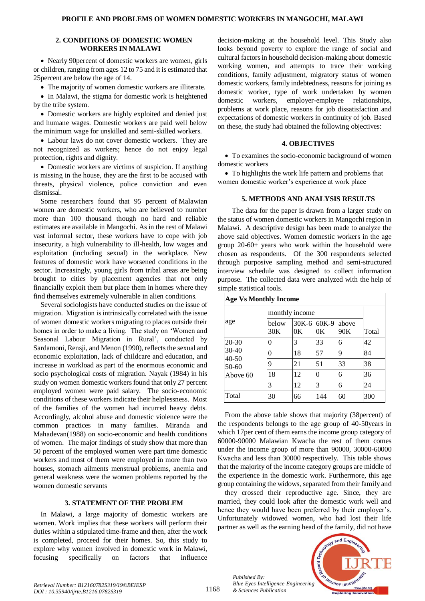## **2. CONDITIONS OF DOMESTIC WOMEN WORKERS IN MALAWI**

• Nearly 90 percent of domestic workers are women, girls or children, ranging from ages 12 to 75 and it is estimated that 25percent are below the age of 14.

The majority of women domestic workers are illiterate.

• In Malawi, the stigma for domestic work is heightened by the tribe system.

• Domestic workers are highly exploited and denied just and humane wages. Domestic workers are paid well below the minimum wage for unskilled and semi-skilled workers.

 Labour laws do not cover domestic workers. They are not recognized as workers; hence do not enjoy legal protection, rights and dignity.

• Domestic workers are victims of suspicion. If anything is missing in the house, they are the first to be accused with threats, physical violence, police conviction and even dismissal.

Some researchers found that 95 percent of Malawian women are domestic workers, who are believed to number more than 100 thousand though no hard and reliable estimates are available in Mangochi. As in the rest of Malawi vast informal sector, these workers have to cope with job insecurity, a high vulnerability to ill-health, low wages and exploitation (including sexual) in the workplace. New features of domestic work have worsened conditions in the sector. Increasingly, young girls from tribal areas are being brought to cities by placement agencies that not only financially exploit them but place them in homes where they find themselves extremely vulnerable in alien conditions.

Several sociologists have conducted studies on the issue of migration. Migration is intrinsically correlated with the issue of women domestic workers migrating to places outside their homes in order to make a living. The study on 'Women and Seasonal Labour Migration in Rural', conducted by Sardamoni, Rensji, and Menon (1990), reflects the sexual and economic exploitation, lack of childcare and education, and increase in workload as part of the enormous economic and socio psychological costs of migration. Nayak (1984) in his study on women domestic workers found that only 27 percent employed women were paid salary. The socio-economic conditions of these workers indicate their helplessness. Most of the families of the women had incurred heavy debts. Accordingly, alcohol abuse and domestic violence were the common practices in many families. Miranda and Mahadevan(1988) on socio-economic and health conditions of women. The major findings of study show that more than 50 percent of the employed women were part time domestic workers and most of them were employed in more than two houses, stomach ailments menstrual problems, anemia and general weakness were the women problems reported by the women domestic servants

## **3. STATEMENT OF THE PROBLEM**

In Malawi, a large majority of domestic workers are women. Work implies that these workers will perform their duties within a stipulated time-frame and then, after the work is completed, proceed for their homes. So, this study to explore why women involved in domestic work in Malawi, focusing specifically on factors that influence

decision-making at the household level. This Study also looks beyond poverty to explore the range of social and cultural factors in household decision-making about domestic working women, and attempts to trace their working conditions, family adjustment, migratory status of women domestic workers, family indebtedness, reasons for joining as domestic worker, type of work undertaken by women domestic workers, employer-employee relationships, problems at work place, reasons for job dissatisfaction and expectations of domestic workers in continuity of job. Based on these, the study had obtained the following objectives:

## **4. OBJECTIVES**

 To examines the socio-economic background of women domestic workers

• To highlights the work life pattern and problems that women domestic worker's experience at work place

# **5. METHODS AND ANALYSIS RESULTS**

The data for the paper is drawn from a larger study on the status of women domestic workers in Mangochi region in Malawi. A descriptive design has been made to analyze the above said objectives. Women domestic workers in the age group 20-60+ years who work within the household were chosen as respondents. Of the 300 respondents selected through purposive sampling method and semi-structured interview schedule was designed to collect information purpose. The collected data were analyzed with the help of simple statistical tools.

| <b>Age Vs Monthly Income</b>                             |                |    |                               |              |       |  |  |  |
|----------------------------------------------------------|----------------|----|-------------------------------|--------------|-------|--|--|--|
| age                                                      | monthly income |    |                               |              |       |  |  |  |
|                                                          | below<br>30K   | 0K | 30K-6 60K-9<br>0 <sup>K</sup> | above<br>90K | Total |  |  |  |
| $20 - 30$<br>$30-40$<br>$40 - 50$<br>$50-60$<br>Above 60 | 0              | 3  | 33                            | 6            | 42    |  |  |  |
|                                                          | $\theta$       | 18 | 57                            | 9            | 84    |  |  |  |
|                                                          | 9              | 21 | 51                            | 33           | 38    |  |  |  |
|                                                          | 18             | 12 | 0                             | 6            | 36    |  |  |  |
|                                                          | 3              | 12 | 3                             | 6            | 24    |  |  |  |
| Total                                                    | 30             | 66 | 144                           | 60           | 300   |  |  |  |

From the above table shows that majority (38percent) of the respondents belongs to the age group of 40-50years in which 17per cent of them earns the income group category of 60000-90000 Malawian Kwacha the rest of them comes under the income group of more than 90000, 30000-60000 Kwacha and less than 30000 respectively. This table shows that the majority of the income category groups are middle of the experience in the domestic work. Furthermore, this age group containing the widows, separated from their family and

they crossed their reproductive age. Since, they are married, they could look after the domestic work well and hence they would have been preferred by their employer's. Unfortunately widowed women, who had lost their life partner as well as the earning head of the family, did not have



*Published By: Blue Eyes Intelligence Engineering & Sciences Publication*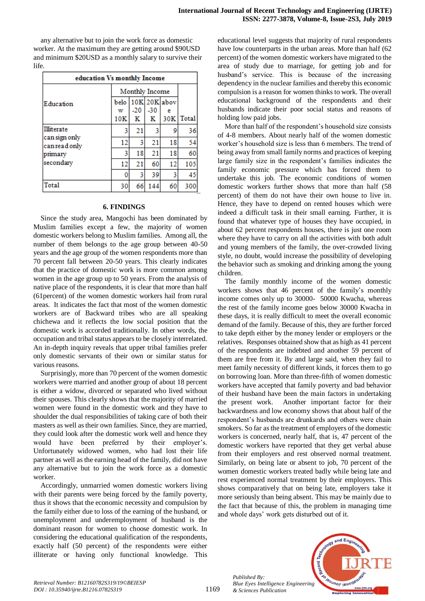any alternative but to join the work force as domestic worker. At the maximum they are getting around \$90USD and minimum \$20USD as a monthly salary to survive their life.

| education Vs monthly Income    |                |       |       |                     |       |  |  |  |  |
|--------------------------------|----------------|-------|-------|---------------------|-------|--|--|--|--|
|                                | Monthly Income |       |       |                     |       |  |  |  |  |
| Education                      | belo<br>w      | $-20$ | $-30$ | $10K$ 20K abov<br>e |       |  |  |  |  |
|                                | 10K            | к     | к     | 30K                 | Total |  |  |  |  |
| <b>Illiterate</b>              | 3              | 21    | 3     | 9                   | 36    |  |  |  |  |
| can sign only<br>can read only | 12             | 3     | 21    | 18                  | 54    |  |  |  |  |
| primary                        | 3              | 18    | 21    | 18                  | 60    |  |  |  |  |
| secondary                      | 12             | 21    | 60    | 12                  | 105   |  |  |  |  |
|                                | 0              | 3     | 39    | 3                   | 45    |  |  |  |  |
| Total                          | 30             | 66    | 144   | 60                  | 300   |  |  |  |  |

## **6. FINDINGS**

Since the study area, Mangochi has been dominated by Muslim families except a few, the majority of women domestic workers belong to Muslim families. Among all, the number of them belongs to the age group between 40-50 years and the age group of the women respondents more than 70 percent fall between 20-50 years. This clearly indicates that the practice of domestic work is more common among women in the age group up to 50 years. From the analysis of native place of the respondents, it is clear that more than half (61percent) of the women domestic workers hail from rural areas. It indicates the fact that most of the women domestic workers are of Backward tribes who are all speaking chichewa and it reflects the low social position that the domestic work is accorded traditionally. In other words, the occupation and tribal status appears to be closely interrelated. An in-depth inquiry reveals that upper tribal families prefer only domestic servants of their own or similar status for various reasons.

Surprisingly, more than 70 percent of the women domestic workers were married and another group of about 18 percent is either a widow, divorced or separated who lived without their spouses. This clearly shows that the majority of married women were found in the domestic work and they have to shoulder the dual responsibilities of taking care of both their masters as well as their own families. Since, they are married, they could look after the domestic work well and hence they would have been preferred by their employer's. Unfortunately widowed women, who had lost their life partner as well as the earning head of the family, did not have any alternative but to join the work force as a domestic worker.

Accordingly, unmarried women domestic workers living with their parents were being forced by the family poverty, thus it shows that the economic necessity and compulsion by the family either due to loss of the earning of the husband, or unemployment and underemployment of husband is the dominant reason for women to choose domestic work. In considering the educational qualification of the respondents, exactly half (50 percent) of the respondents were either illiterate or having only functional knowledge. This educational level suggests that majority of rural respondents have low counterparts in the urban areas. More than half (62 percent) of the women domestic workers have migrated to the area of study due to marriage, for getting job and for husband's service. This is because of the increasing dependency in the nuclear families and thereby this economic compulsion is a reason for women thinks to work. The overall educational background of the respondents and their husbands indicate their poor social status and reasons of holding low paid jobs.

More than half of the respondent's household size consists of 4-8 members. About nearly half of the women domestic worker's household size is less than 6 members. The trend of being away from small family norms and practices of keeping large family size in the respondent's families indicates the family economic pressure which has forced them to undertake this job. The economic conditions of women domestic workers further shows that more than half (58 percent) of them do not have their own house to live in. Hence, they have to depend on rented houses which were indeed a difficult task in their small earning. Further, it is found that whatever type of houses they have occupied, in about 62 percent respondents houses, there is just one room where they have to carry on all the activities with both adult and young members of the family, the over-crowded living style, no doubt, would increase the possibility of developing the behavior such as smoking and drinking among the young children.

The family monthly income of the women domestic workers shows that 46 percent of the family's monthly income comes only up to 30000- 50000 Kwacha, whereas the rest of the family income goes below 30000 Kwacha in these days, it is really difficult to meet the overall economic demand of the family. Because of this, they are further forced to take depth either by the money lender or employers or the relatives. Responses obtained show that as high as 41 percent of the respondents are indebted and another 59 percent of them are free from it. By and large said, when they fail to meet family necessity of different kinds, it forces them to go on borrowing loan. More than three-fifth of women domestic workers have accepted that family poverty and bad behavior of their husband have been the main factors in undertaking the present work. Another important factor for their backwardness and low economy shows that about half of the respondent's husbands are drunkards and others were chain smokers. So far as the treatment of employers of the domestic workers is concerned, nearly half, that is, 47 percent of the domestic workers have reported that they get verbal abuse from their employers and rest observed normal treatment. Similarly, on being late or absent to job, 70 percent of the women domestic workers treated badly while being late and rest experienced normal treatment by their employers. This shows comparatively that on being late, employers take it more seriously than being absent. This may be mainly due to the fact that because of this, the problem in managing time and whole days' work gets disturbed out of it.



*Published By:*

*& Sciences Publication*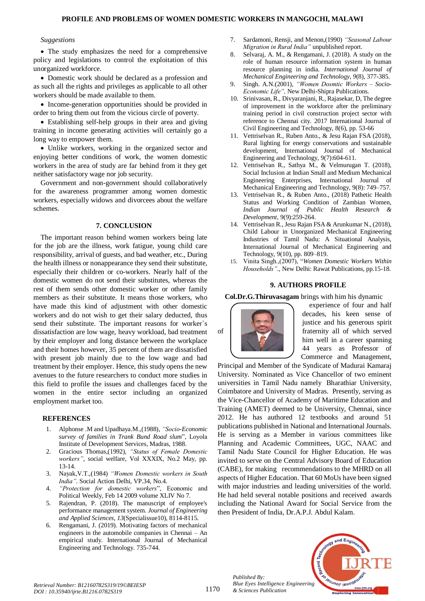## **PROFILE AND PROBLEMS OF WOMEN DOMESTIC WORKERS IN MANGOCHI, MALAWI**

#### *Suggestions*

• The study emphasizes the need for a comprehensive policy and legislations to control the exploitation of this unorganized workforce.

 Domestic work should be declared as a profession and as such all the rights and privileges as applicable to all other workers should be made available to them.

• Income-generation opportunities should be provided in order to bring them out from the vicious circle of poverty.

 Establishing self-help groups in their area and giving training in income generating activities will certainly go a long way to empower them.

 Unlike workers, working in the organized sector and enjoying better conditions of work, the women domestic workers in the area of study are far behind from it they get neither satisfactory wage nor job security.

Government and non-government should collaboratively for the awareness programmer among women domestic workers, especially widows and divorcees about the welfare schemes.

## **7. CONCLUSION**

The important reason behind women workers being late for the job are the illness, work fatigue, young child care responsibility, arrival of guests, and bad weather, etc., During the health illness or nonappearance they send their substitute, especially their children or co-workers. Nearly half of the domestic women do not send their substitutes, whereas the rest of them sends other domestic worker or other family members as their substitute. It means those workers, who have made this kind of adjustment with other domestic workers and do not wish to get their salary deducted, thus send their substitute. The important reasons for worker`s dissatisfaction are low wage, heavy workload, bad treatment by their employer and long distance between the workplace and their homes however, 35 percent of them are dissatisfied with present job mainly due to the low wage and bad treatment by their employer. Hence, this study opens the new avenues to the future researchers to conduct more studies in this field to profile the issues and challenges faced by the women in the entire sector including an organized employment market too.

#### **REFERENCES**

- 1. Alphonse .M and Upadhaya.M.,(1988), *"Socio-Economic survey of families in Trank Bund Road slum*", Loyola Institute of Development Services, Madras, 1988.
- 2. Gracious Thomas,(1992), *"Status of Female Domestic workers"*, social welfare, Vol XXXIX, No.2 May, pp. 13-14.
- 3. Nayak,V.T.,(1984) *"Women Domestic workers in South India"*. Social Action Delhi, VP.34, No.4.
- 4. *"Protection for domestic workers*", Economic and Political Weekly, Feb 14 2009 volume XLIV No 7.
- 5. Rajendran, P. (2018). The manuscript of employee's performance management system. *Journal of Engineering and Applied Sciences, 13*(Specialissue10), 8114-8115.
- 6. Rengamani, J. (2019). Motivating factors of mechanical engineers in the automobile companies in Chennai – An empirical study. International Journal of Mechanical Engineering and Technology. 735-744.
- 7. Sardamoni, Rensji, and Menon,(1990) *"Seasonal Labour Migration in Rural India"* unpublished report.
- 8. Selvaraj, A. M., & Rengamani, J. (2018). A study on the role of human resource information system in human resource planning in india. *International Journal of Mechanical Engineering and Technology, 9*(8), 377-385.
- 9. Singh. A.N.(2001), *"Women Dosmtic Workers – Socio-Economic Life",* New Delhi-Shipra Publications.
- 10. Srinivasan, R., Divyaranjani, R., Rajasekar, D, The degree of improvement in the workforce after the preliminary training period in civil construction project sector with reference to Chennai city. 2017 International Journal of Civil Engineering and Technology, 8(6), pp. 53-66
- 11. Vettriselvan R., Ruben Anto., & Jesu Rajan FSA (2018), Rural lighting for energy conservations and sustainable development, International Journal of Mechanical Engineering and Technology, 9(7):604-611.
- 12. Vettriselvan R., Sathya M., & Velmurugan T. (2018), Social Inclusion at Indian Small and Medium Mechanical Engineering Enterprises, International Journal of Mechanical Engineering and Technology, 9(8): 749–757.
- 13. Vettriselvan R., & Ruben Anto., (2018) Pathetic Health Status and Working Condition of Zambian Women, *Indian Journal of Public Health Research & Development,* 9(9):259-264.
- 14. Vettriselvan R., Jesu Rajan FSA & Arunkumar N., (2018), Child Labour in Unorganized Mechanical Engineering Industries of Tamil Nadu: A Situational Analysis, International Journal of Mechanical Engineering and Technology, 9(10), pp. 809–819.
- 15. Vinita Singh.,(2007), "*Women Domestic Workers Within Households"*., New Delhi: Rawat Publications, pp.15-18.

## **9. AUTHORS PROFILE**

**Col.Dr.G.Thiruvasagam** brings with him his dynamic



experience of four and half decades, his keen sense of justice and his generous spirit of fraternity all of which served him well in a career spanning 44 years as Professor of Commerce and Management,

Principal and Member of the Syndicate of Madurai Kamaraj University. Nominated as Vice Chancellor of two eminent universities in Tamil Nadu namely Bharathiar University, Coimbatore and University of Madras. Presently, serving as the Vice-Chancellor of Academy of Maritime Education and Training (AMET) deemed to be University, Chennai, since 2012. He has authored 12 textbooks and around 51 publications published in National and International Journals. He is serving as a Member in various committees like Planning and Academic Committees, UGC, NAAC and Tamil Nadu State Council for Higher Education. He was invited to serve on the Central Advisory Board of Education (CABE), for making recommendations to the MHRD on all aspects of Higher Education. That 60 MoUs have been signed with major industries and leading universities of the world. He had held several notable positions and received awards including the National Award for Social Service from the then President of India, Dr.A.P.J. Abdul Kalam.



*Retrieval Number: B12160782S319/19©BEIESP DOI : 10.35940/ijrte.B1216.0782S319*

*Published By:*

*& Sciences Publication*